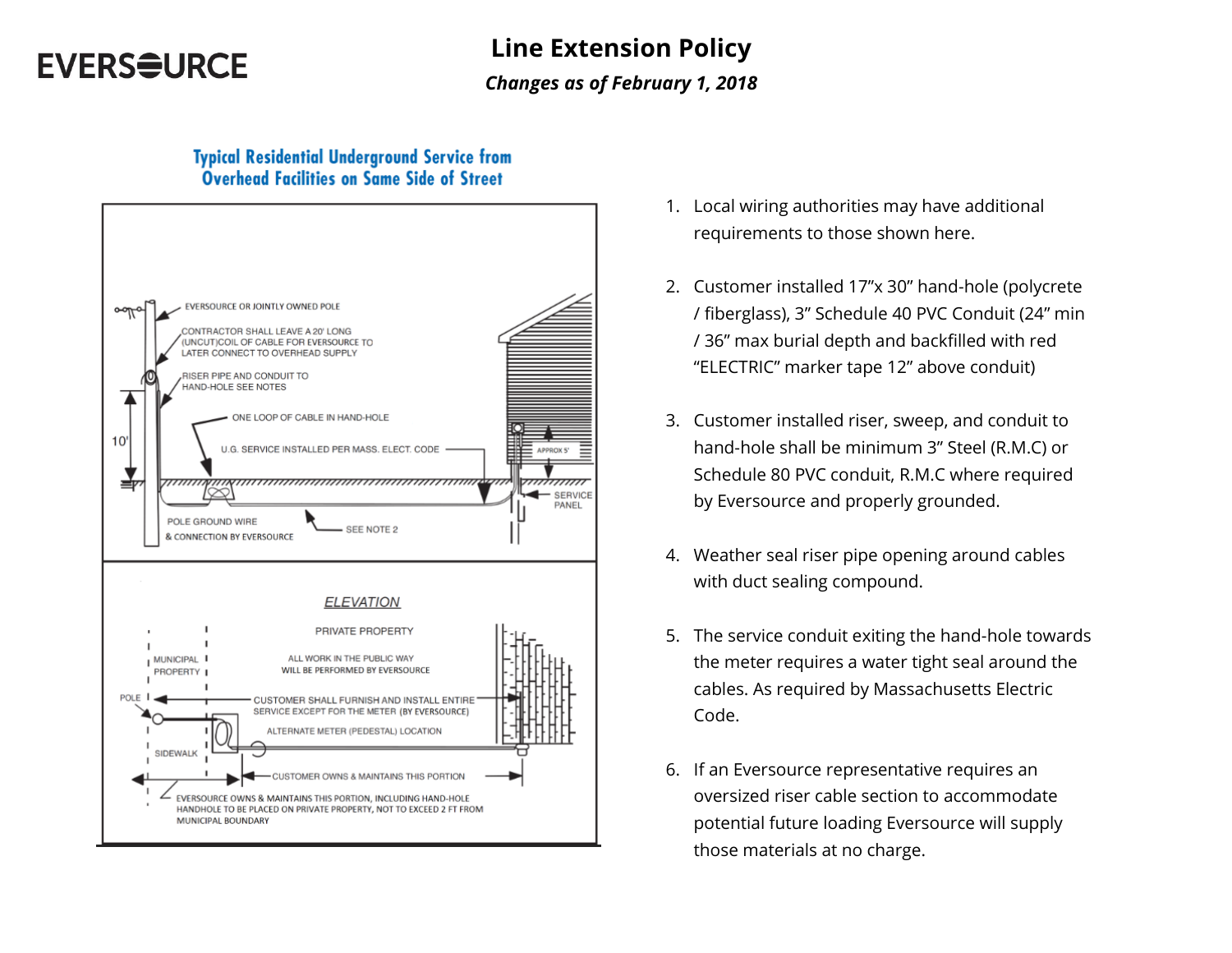## **EVERSOURCE**

# **Line Extension Policy**

#### *Changes as of February 1, 2018*

#### **Typical Residential Underground Service from** Overhead Facilities on Same Side of Street



- 1. Local wiring authorities may have additional requirements to those shown here.
- 2. Customer installed 17"x 30" hand-hole (polycrete / fiberglass), 3" Schedule 40 PVC Conduit (24" min / 36" max burial depth and backfilled with red "ELECTRIC" marker tape 12" above conduit)
- 3. Customer installed riser, sweep, and conduit to hand-hole shall be minimum 3" Steel (R.M.C) or Schedule 80 PVC conduit, R.M.C where required by Eversource and properly grounded.
- 4. Weather seal riser pipe opening around cables with duct sealing compound.
- 5. The service conduit exiting the hand-hole towards the meter requires a water tight seal around the cables. As required by Massachusetts Electric Code.
- 6. If an Eversource representative requires an oversized riser cable section to accommodate potential future loading Eversource will supply those materials at no charge.